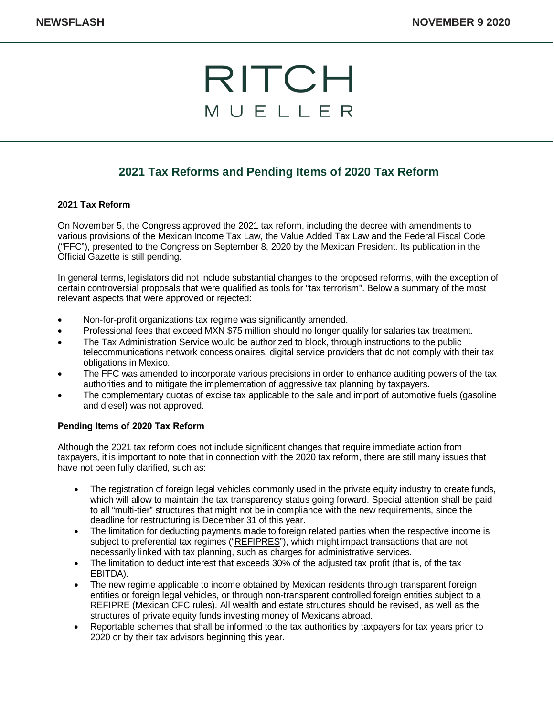## RITCH MUELLER

### **2021 Tax Reforms and Pending Items of 2020 Tax Reform**

#### **2021 Tax Reform**

On November 5, the Congress approved the 2021 tax reform, including the decree with amendments to various provisions of the Mexican Income Tax Law, the Value Added Tax Law and the Federal Fiscal Code ("FFC"), presented to the Congress on September 8, 2020 by the Mexican President. Its publication in the Official Gazette is still pending.

In general terms, legislators did not include substantial changes to the proposed reforms, with the exception of certain controversial proposals that were qualified as tools for "tax terrorism". Below a summary of the most relevant aspects that were approved or rejected:

- Non-for-profit organizations tax regime was significantly amended.
- Professional fees that exceed MXN \$75 million should no longer qualify for salaries tax treatment.
- The Tax Administration Service would be authorized to block, through instructions to the public telecommunications network concessionaires, digital service providers that do not comply with their tax obligations in Mexico.
- The FFC was amended to incorporate various precisions in order to enhance auditing powers of the tax authorities and to mitigate the implementation of aggressive tax planning by taxpayers.
- The complementary quotas of excise tax applicable to the sale and import of automotive fuels (gasoline and diesel) was not approved.

#### **Pending Items of 2020 Tax Reform**

Although the 2021 tax reform does not include significant changes that require immediate action from taxpayers, it is important to note that in connection with the 2020 tax reform, there are still many issues that have not been fully clarified, such as:

- The registration of foreign legal vehicles commonly used in the private equity industry to create funds, which will allow to maintain the tax transparency status going forward. Special attention shall be paid to all "multi-tier" structures that might not be in compliance with the new requirements, since the deadline for restructuring is December 31 of this year.
- The limitation for deducting payments made to foreign related parties when the respective income is subject to preferential tax regimes ("REFIPRES"), which might impact transactions that are not necessarily linked with tax planning, such as charges for administrative services.
- The limitation to deduct interest that exceeds 30% of the adjusted tax profit (that is, of the tax EBITDA).
- The new regime applicable to income obtained by Mexican residents through transparent foreign entities or foreign legal vehicles, or through non-transparent controlled foreign entities subject to a REFIPRE (Mexican CFC rules). All wealth and estate structures should be revised, as well as the structures of private equity funds investing money of Mexicans abroad.
- Reportable schemes that shall be informed to the tax authorities by taxpayers for tax years prior to 2020 or by their tax advisors beginning this year.